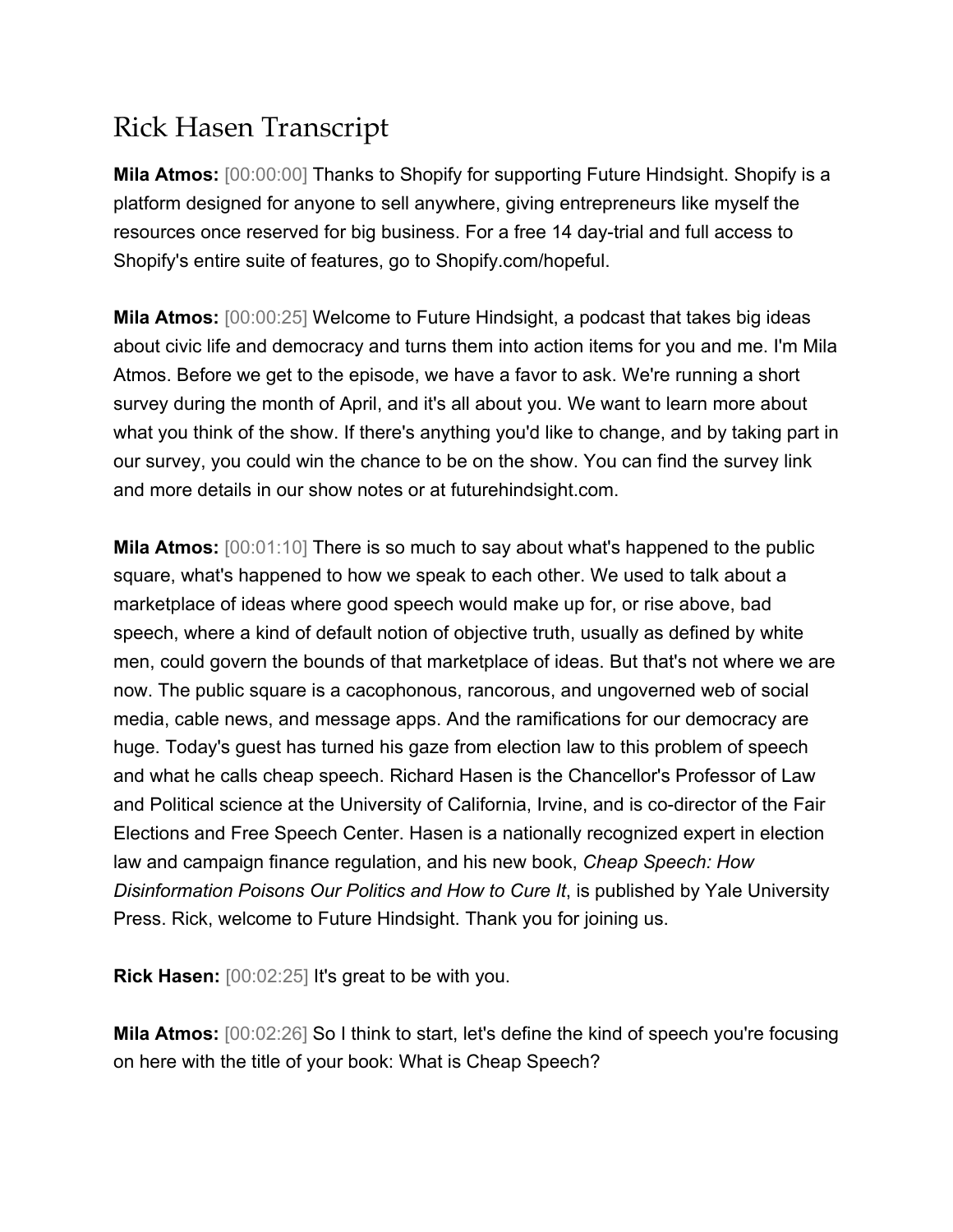## Rick Hasen Transcript

**Mila Atmos:** [00:00:00] Thanks to Shopify for supporting Future Hindsight. Shopify is a platform designed for anyone to sell anywhere, giving entrepreneurs like myself the resources once reserved for big business. For a free 14 day-trial and full access to Shopify's entire suite of features, go to Shopify.com/hopeful.

**Mila Atmos:** [00:00:25] Welcome to Future Hindsight, a podcast that takes big ideas about civic life and democracy and turns them into action items for you and me. I'm Mila Atmos. Before we get to the episode, we have a favor to ask. We're running a short survey during the month of April, and it's all about you. We want to learn more about what you think of the show. If there's anything you'd like to change, and by taking part in our survey, you could win the chance to be on the show. You can find the survey link and more details in our show notes or at futurehindsight.com.

**Mila Atmos:** [00:01:10] There is so much to say about what's happened to the public square, what's happened to how we speak to each other. We used to talk about a marketplace of ideas where good speech would make up for, or rise above, bad speech, where a kind of default notion of objective truth, usually as defined by white men, could govern the bounds of that marketplace of ideas. But that's not where we are now. The public square is a cacophonous, rancorous, and ungoverned web of social media, cable news, and message apps. And the ramifications for our democracy are huge. Today's guest has turned his gaze from election law to this problem of speech and what he calls cheap speech. Richard Hasen is the Chancellor's Professor of Law and Political science at the University of California, Irvine, and is co-director of the Fair Elections and Free Speech Center. Hasen is a nationally recognized expert in election law and campaign finance regulation, and his new book, *Cheap Speech: How Disinformation Poisons Our Politics and How to Cure It*, is published by Yale University Press. Rick, welcome to Future Hindsight. Thank you for joining us.

**Rick Hasen:** [00:02:25] It's great to be with you.

**Mila Atmos:** [00:02:26] So I think to start, let's define the kind of speech you're focusing on here with the title of your book: What is Cheap Speech?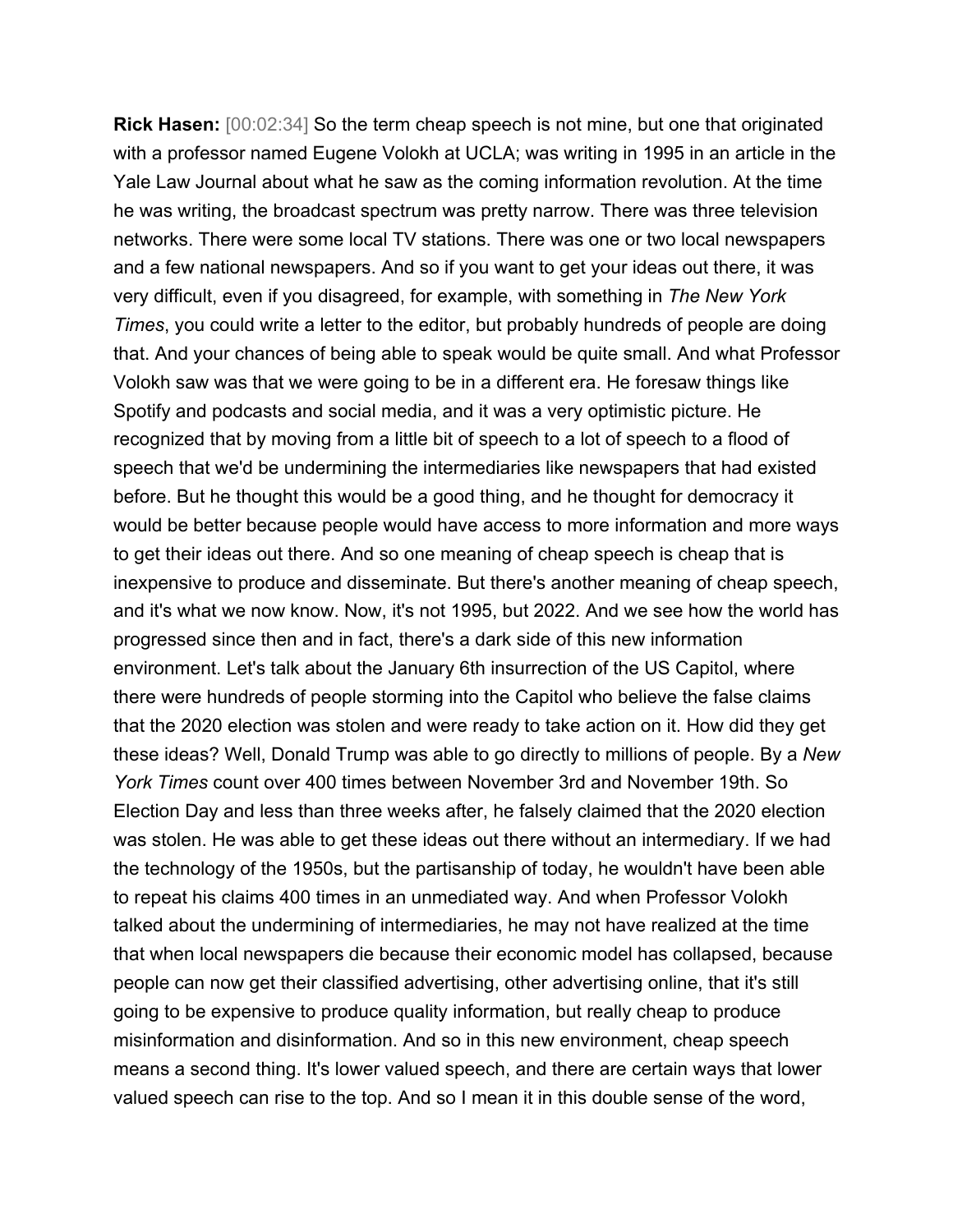**Rick Hasen:** [00:02:34] So the term cheap speech is not mine, but one that originated with a professor named Eugene Volokh at UCLA; was writing in 1995 in an article in the Yale Law Journal about what he saw as the coming information revolution. At the time he was writing, the broadcast spectrum was pretty narrow. There was three television networks. There were some local TV stations. There was one or two local newspapers and a few national newspapers. And so if you want to get your ideas out there, it was very difficult, even if you disagreed, for example, with something in *The New York Times*, you could write a letter to the editor, but probably hundreds of people are doing that. And your chances of being able to speak would be quite small. And what Professor Volokh saw was that we were going to be in a different era. He foresaw things like Spotify and podcasts and social media, and it was a very optimistic picture. He recognized that by moving from a little bit of speech to a lot of speech to a flood of speech that we'd be undermining the intermediaries like newspapers that had existed before. But he thought this would be a good thing, and he thought for democracy it would be better because people would have access to more information and more ways to get their ideas out there. And so one meaning of cheap speech is cheap that is inexpensive to produce and disseminate. But there's another meaning of cheap speech, and it's what we now know. Now, it's not 1995, but 2022. And we see how the world has progressed since then and in fact, there's a dark side of this new information environment. Let's talk about the January 6th insurrection of the US Capitol, where there were hundreds of people storming into the Capitol who believe the false claims that the 2020 election was stolen and were ready to take action on it. How did they get these ideas? Well, Donald Trump was able to go directly to millions of people. By a *New York Times* count over 400 times between November 3rd and November 19th. So Election Day and less than three weeks after, he falsely claimed that the 2020 election was stolen. He was able to get these ideas out there without an intermediary. If we had the technology of the 1950s, but the partisanship of today, he wouldn't have been able to repeat his claims 400 times in an unmediated way. And when Professor Volokh talked about the undermining of intermediaries, he may not have realized at the time that when local newspapers die because their economic model has collapsed, because people can now get their classified advertising, other advertising online, that it's still going to be expensive to produce quality information, but really cheap to produce misinformation and disinformation. And so in this new environment, cheap speech means a second thing. It's lower valued speech, and there are certain ways that lower valued speech can rise to the top. And so I mean it in this double sense of the word,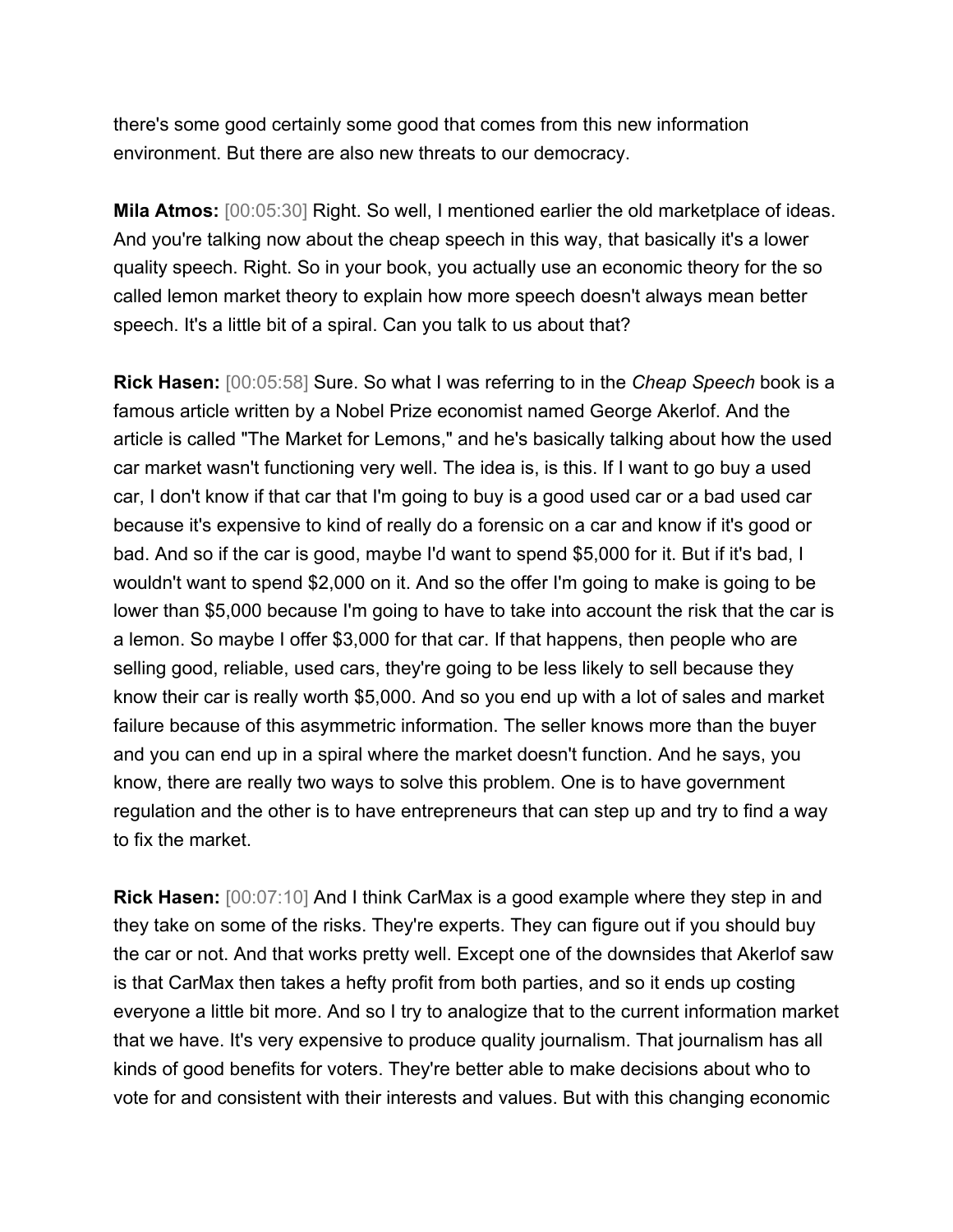there's some good certainly some good that comes from this new information environment. But there are also new threats to our democracy.

**Mila Atmos:** [00:05:30] Right. So well, I mentioned earlier the old marketplace of ideas. And you're talking now about the cheap speech in this way, that basically it's a lower quality speech. Right. So in your book, you actually use an economic theory for the so called lemon market theory to explain how more speech doesn't always mean better speech. It's a little bit of a spiral. Can you talk to us about that?

**Rick Hasen:** [00:05:58] Sure. So what I was referring to in the *Cheap Speech* book is a famous article written by a Nobel Prize economist named George Akerlof. And the article is called "The Market for Lemons," and he's basically talking about how the used car market wasn't functioning very well. The idea is, is this. If I want to go buy a used car, I don't know if that car that I'm going to buy is a good used car or a bad used car because it's expensive to kind of really do a forensic on a car and know if it's good or bad. And so if the car is good, maybe I'd want to spend \$5,000 for it. But if it's bad, I wouldn't want to spend \$2,000 on it. And so the offer I'm going to make is going to be lower than \$5,000 because I'm going to have to take into account the risk that the car is a lemon. So maybe I offer \$3,000 for that car. If that happens, then people who are selling good, reliable, used cars, they're going to be less likely to sell because they know their car is really worth \$5,000. And so you end up with a lot of sales and market failure because of this asymmetric information. The seller knows more than the buyer and you can end up in a spiral where the market doesn't function. And he says, you know, there are really two ways to solve this problem. One is to have government regulation and the other is to have entrepreneurs that can step up and try to find a way to fix the market.

**Rick Hasen:** [00:07:10] And I think CarMax is a good example where they step in and they take on some of the risks. They're experts. They can figure out if you should buy the car or not. And that works pretty well. Except one of the downsides that Akerlof saw is that CarMax then takes a hefty profit from both parties, and so it ends up costing everyone a little bit more. And so I try to analogize that to the current information market that we have. It's very expensive to produce quality journalism. That journalism has all kinds of good benefits for voters. They're better able to make decisions about who to vote for and consistent with their interests and values. But with this changing economic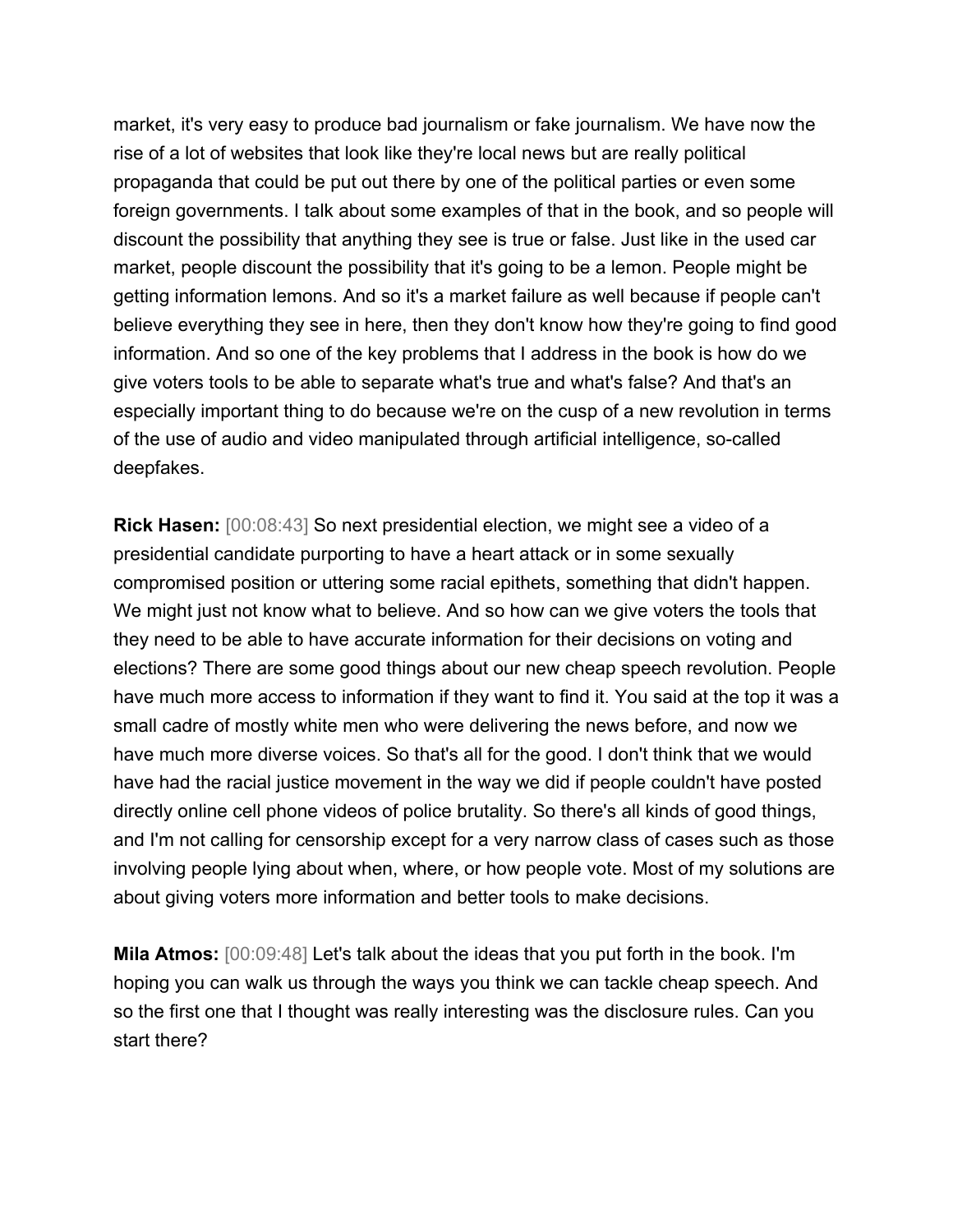market, it's very easy to produce bad journalism or fake journalism. We have now the rise of a lot of websites that look like they're local news but are really political propaganda that could be put out there by one of the political parties or even some foreign governments. I talk about some examples of that in the book, and so people will discount the possibility that anything they see is true or false. Just like in the used car market, people discount the possibility that it's going to be a lemon. People might be getting information lemons. And so it's a market failure as well because if people can't believe everything they see in here, then they don't know how they're going to find good information. And so one of the key problems that I address in the book is how do we give voters tools to be able to separate what's true and what's false? And that's an especially important thing to do because we're on the cusp of a new revolution in terms of the use of audio and video manipulated through artificial intelligence, so-called deepfakes.

**Rick Hasen:** [00:08:43] So next presidential election, we might see a video of a presidential candidate purporting to have a heart attack or in some sexually compromised position or uttering some racial epithets, something that didn't happen. We might just not know what to believe. And so how can we give voters the tools that they need to be able to have accurate information for their decisions on voting and elections? There are some good things about our new cheap speech revolution. People have much more access to information if they want to find it. You said at the top it was a small cadre of mostly white men who were delivering the news before, and now we have much more diverse voices. So that's all for the good. I don't think that we would have had the racial justice movement in the way we did if people couldn't have posted directly online cell phone videos of police brutality. So there's all kinds of good things, and I'm not calling for censorship except for a very narrow class of cases such as those involving people lying about when, where, or how people vote. Most of my solutions are about giving voters more information and better tools to make decisions.

**Mila Atmos:** [00:09:48] Let's talk about the ideas that you put forth in the book. I'm hoping you can walk us through the ways you think we can tackle cheap speech. And so the first one that I thought was really interesting was the disclosure rules. Can you start there?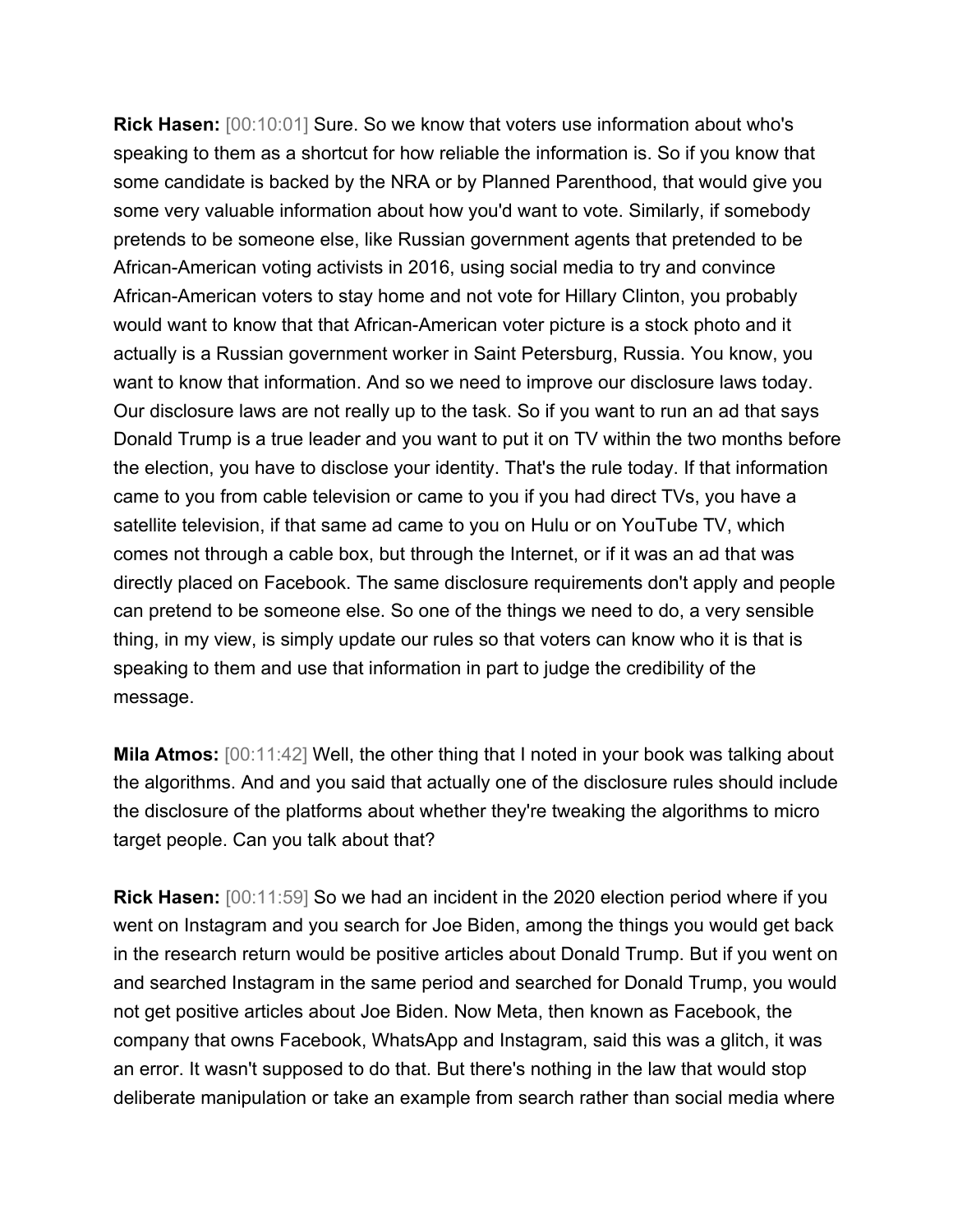**Rick Hasen:** [00:10:01] Sure. So we know that voters use information about who's speaking to them as a shortcut for how reliable the information is. So if you know that some candidate is backed by the NRA or by Planned Parenthood, that would give you some very valuable information about how you'd want to vote. Similarly, if somebody pretends to be someone else, like Russian government agents that pretended to be African-American voting activists in 2016, using social media to try and convince African-American voters to stay home and not vote for Hillary Clinton, you probably would want to know that that African-American voter picture is a stock photo and it actually is a Russian government worker in Saint Petersburg, Russia. You know, you want to know that information. And so we need to improve our disclosure laws today. Our disclosure laws are not really up to the task. So if you want to run an ad that says Donald Trump is a true leader and you want to put it on TV within the two months before the election, you have to disclose your identity. That's the rule today. If that information came to you from cable television or came to you if you had direct TVs, you have a satellite television, if that same ad came to you on Hulu or on YouTube TV, which comes not through a cable box, but through the Internet, or if it was an ad that was directly placed on Facebook. The same disclosure requirements don't apply and people can pretend to be someone else. So one of the things we need to do, a very sensible thing, in my view, is simply update our rules so that voters can know who it is that is speaking to them and use that information in part to judge the credibility of the message.

**Mila Atmos:** [00:11:42] Well, the other thing that I noted in your book was talking about the algorithms. And and you said that actually one of the disclosure rules should include the disclosure of the platforms about whether they're tweaking the algorithms to micro target people. Can you talk about that?

**Rick Hasen:** [00:11:59] So we had an incident in the 2020 election period where if you went on Instagram and you search for Joe Biden, among the things you would get back in the research return would be positive articles about Donald Trump. But if you went on and searched Instagram in the same period and searched for Donald Trump, you would not get positive articles about Joe Biden. Now Meta, then known as Facebook, the company that owns Facebook, WhatsApp and Instagram, said this was a glitch, it was an error. It wasn't supposed to do that. But there's nothing in the law that would stop deliberate manipulation or take an example from search rather than social media where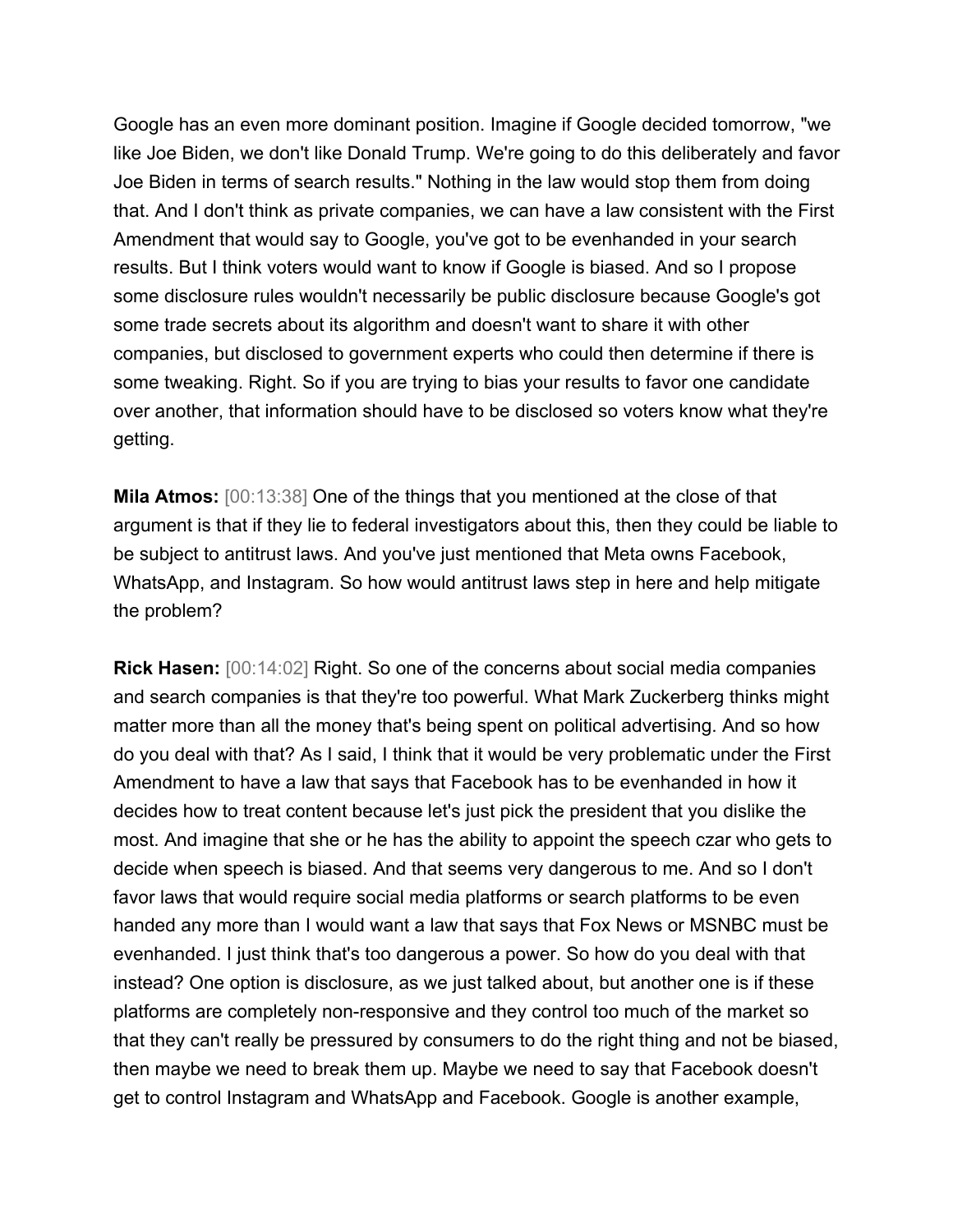Google has an even more dominant position. Imagine if Google decided tomorrow, "we like Joe Biden, we don't like Donald Trump. We're going to do this deliberately and favor Joe Biden in terms of search results." Nothing in the law would stop them from doing that. And I don't think as private companies, we can have a law consistent with the First Amendment that would say to Google, you've got to be evenhanded in your search results. But I think voters would want to know if Google is biased. And so I propose some disclosure rules wouldn't necessarily be public disclosure because Google's got some trade secrets about its algorithm and doesn't want to share it with other companies, but disclosed to government experts who could then determine if there is some tweaking. Right. So if you are trying to bias your results to favor one candidate over another, that information should have to be disclosed so voters know what they're getting.

**Mila Atmos:** [00:13:38] One of the things that you mentioned at the close of that argument is that if they lie to federal investigators about this, then they could be liable to be subject to antitrust laws. And you've just mentioned that Meta owns Facebook, WhatsApp, and Instagram. So how would antitrust laws step in here and help mitigate the problem?

**Rick Hasen:** [00:14:02] Right. So one of the concerns about social media companies and search companies is that they're too powerful. What Mark Zuckerberg thinks might matter more than all the money that's being spent on political advertising. And so how do you deal with that? As I said, I think that it would be very problematic under the First Amendment to have a law that says that Facebook has to be evenhanded in how it decides how to treat content because let's just pick the president that you dislike the most. And imagine that she or he has the ability to appoint the speech czar who gets to decide when speech is biased. And that seems very dangerous to me. And so I don't favor laws that would require social media platforms or search platforms to be even handed any more than I would want a law that says that Fox News or MSNBC must be evenhanded. I just think that's too dangerous a power. So how do you deal with that instead? One option is disclosure, as we just talked about, but another one is if these platforms are completely non-responsive and they control too much of the market so that they can't really be pressured by consumers to do the right thing and not be biased, then maybe we need to break them up. Maybe we need to say that Facebook doesn't get to control Instagram and WhatsApp and Facebook. Google is another example,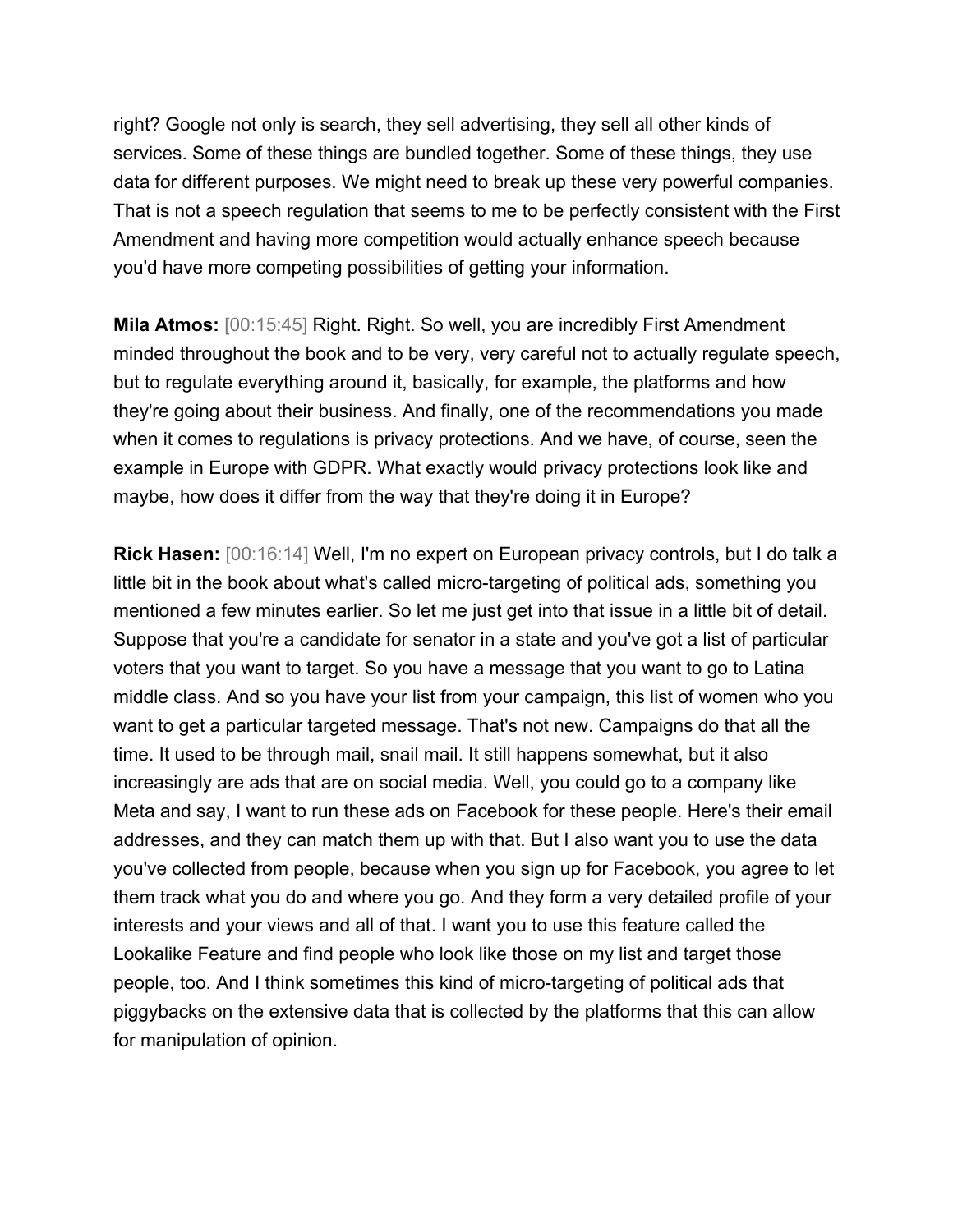right? Google not only is search, they sell advertising, they sell all other kinds of services. Some of these things are bundled together. Some of these things, they use data for different purposes. We might need to break up these very powerful companies. That is not a speech regulation that seems to me to be perfectly consistent with the First Amendment and having more competition would actually enhance speech because you'd have more competing possibilities of getting your information.

**Mila Atmos:** [00:15:45] Right. Right. So well, you are incredibly First Amendment minded throughout the book and to be very, very careful not to actually regulate speech, but to regulate everything around it, basically, for example, the platforms and how they're going about their business. And finally, one of the recommendations you made when it comes to regulations is privacy protections. And we have, of course, seen the example in Europe with GDPR. What exactly would privacy protections look like and maybe, how does it differ from the way that they're doing it in Europe?

**Rick Hasen:** [00:16:14] Well, I'm no expert on European privacy controls, but I do talk a little bit in the book about what's called micro-targeting of political ads, something you mentioned a few minutes earlier. So let me just get into that issue in a little bit of detail. Suppose that you're a candidate for senator in a state and you've got a list of particular voters that you want to target. So you have a message that you want to go to Latina middle class. And so you have your list from your campaign, this list of women who you want to get a particular targeted message. That's not new. Campaigns do that all the time. It used to be through mail, snail mail. It still happens somewhat, but it also increasingly are ads that are on social media. Well, you could go to a company like Meta and say, I want to run these ads on Facebook for these people. Here's their email addresses, and they can match them up with that. But I also want you to use the data you've collected from people, because when you sign up for Facebook, you agree to let them track what you do and where you go. And they form a very detailed profile of your interests and your views and all of that. I want you to use this feature called the Lookalike Feature and find people who look like those on my list and target those people, too. And I think sometimes this kind of micro-targeting of political ads that piggybacks on the extensive data that is collected by the platforms that this can allow for manipulation of opinion.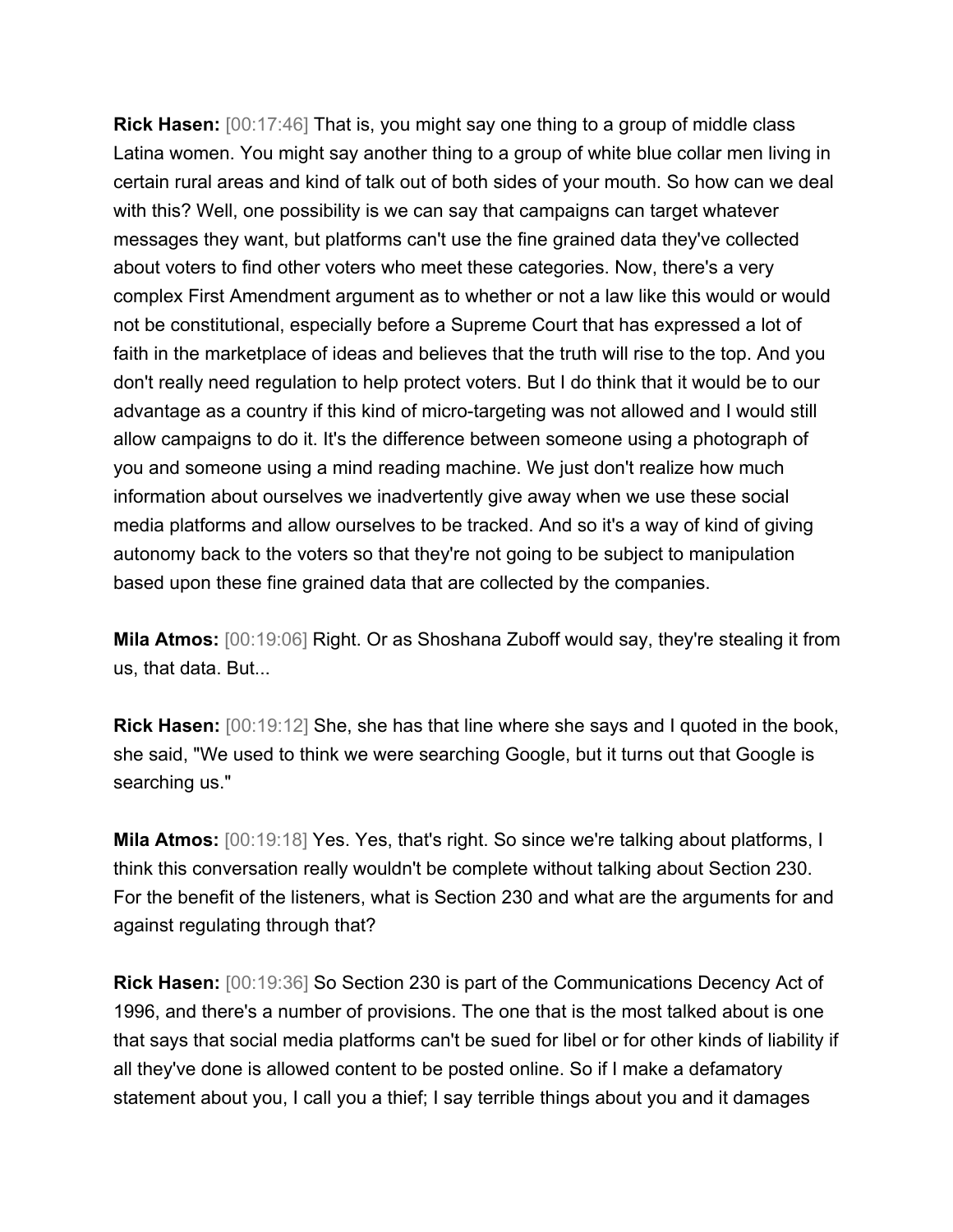**Rick Hasen:** [00:17:46] That is, you might say one thing to a group of middle class Latina women. You might say another thing to a group of white blue collar men living in certain rural areas and kind of talk out of both sides of your mouth. So how can we deal with this? Well, one possibility is we can say that campaigns can target whatever messages they want, but platforms can't use the fine grained data they've collected about voters to find other voters who meet these categories. Now, there's a very complex First Amendment argument as to whether or not a law like this would or would not be constitutional, especially before a Supreme Court that has expressed a lot of faith in the marketplace of ideas and believes that the truth will rise to the top. And you don't really need regulation to help protect voters. But I do think that it would be to our advantage as a country if this kind of micro-targeting was not allowed and I would still allow campaigns to do it. It's the difference between someone using a photograph of you and someone using a mind reading machine. We just don't realize how much information about ourselves we inadvertently give away when we use these social media platforms and allow ourselves to be tracked. And so it's a way of kind of giving autonomy back to the voters so that they're not going to be subject to manipulation based upon these fine grained data that are collected by the companies.

**Mila Atmos:** [00:19:06] Right. Or as Shoshana Zuboff would say, they're stealing it from us, that data. But...

**Rick Hasen:** [00:19:12] She, she has that line where she says and I quoted in the book, she said, "We used to think we were searching Google, but it turns out that Google is searching us."

**Mila Atmos:** [00:19:18] Yes. Yes, that's right. So since we're talking about platforms, I think this conversation really wouldn't be complete without talking about Section 230. For the benefit of the listeners, what is Section 230 and what are the arguments for and against regulating through that?

**Rick Hasen:** [00:19:36] So Section 230 is part of the Communications Decency Act of 1996, and there's a number of provisions. The one that is the most talked about is one that says that social media platforms can't be sued for libel or for other kinds of liability if all they've done is allowed content to be posted online. So if I make a defamatory statement about you, I call you a thief; I say terrible things about you and it damages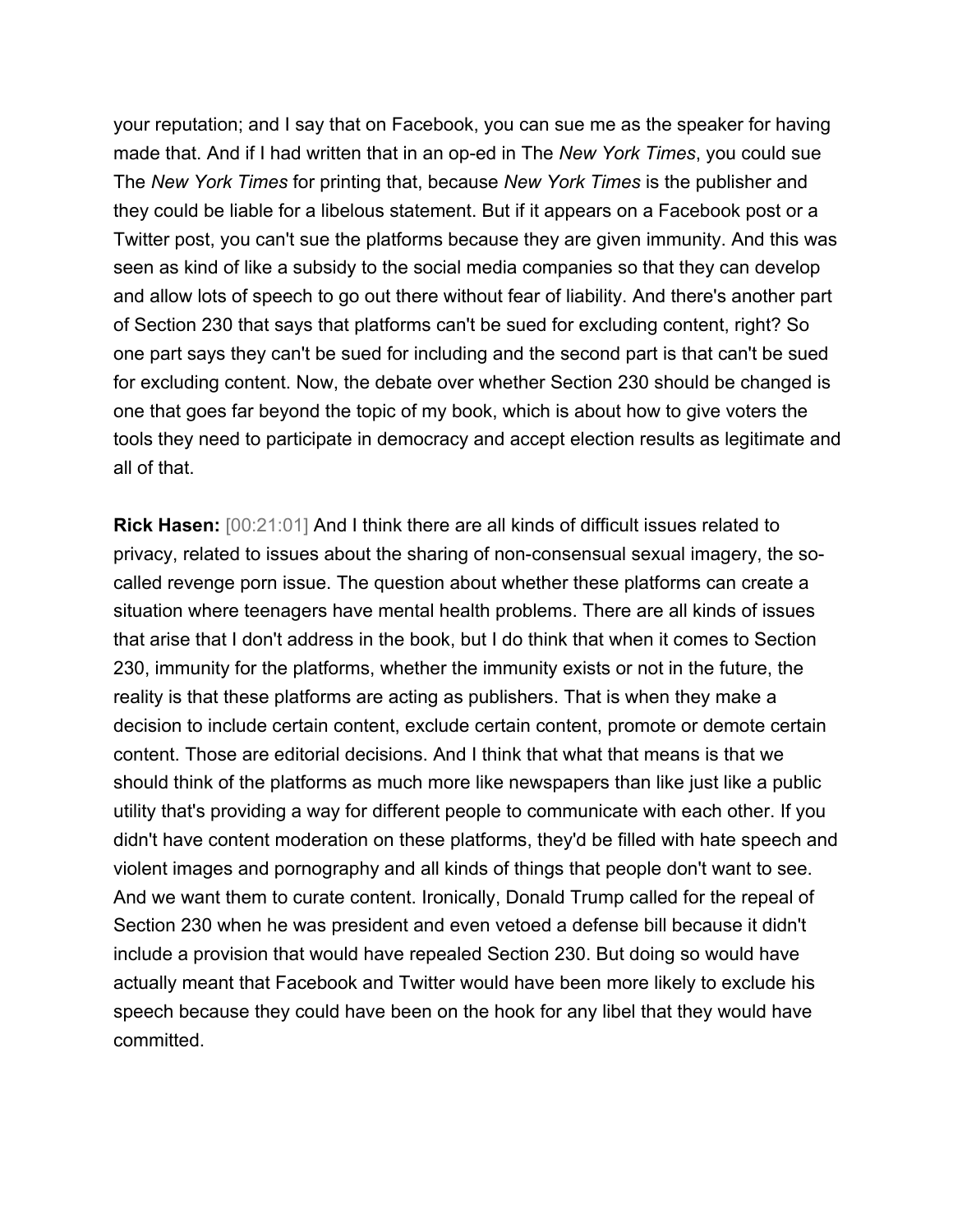your reputation; and I say that on Facebook, you can sue me as the speaker for having made that. And if I had written that in an op-ed in The *New York Times*, you could sue The *New York Times* for printing that, because *New York Times* is the publisher and they could be liable for a libelous statement. But if it appears on a Facebook post or a Twitter post, you can't sue the platforms because they are given immunity. And this was seen as kind of like a subsidy to the social media companies so that they can develop and allow lots of speech to go out there without fear of liability. And there's another part of Section 230 that says that platforms can't be sued for excluding content, right? So one part says they can't be sued for including and the second part is that can't be sued for excluding content. Now, the debate over whether Section 230 should be changed is one that goes far beyond the topic of my book, which is about how to give voters the tools they need to participate in democracy and accept election results as legitimate and all of that.

**Rick Hasen:** [00:21:01] And I think there are all kinds of difficult issues related to privacy, related to issues about the sharing of non-consensual sexual imagery, the socalled revenge porn issue. The question about whether these platforms can create a situation where teenagers have mental health problems. There are all kinds of issues that arise that I don't address in the book, but I do think that when it comes to Section 230, immunity for the platforms, whether the immunity exists or not in the future, the reality is that these platforms are acting as publishers. That is when they make a decision to include certain content, exclude certain content, promote or demote certain content. Those are editorial decisions. And I think that what that means is that we should think of the platforms as much more like newspapers than like just like a public utility that's providing a way for different people to communicate with each other. If you didn't have content moderation on these platforms, they'd be filled with hate speech and violent images and pornography and all kinds of things that people don't want to see. And we want them to curate content. Ironically, Donald Trump called for the repeal of Section 230 when he was president and even vetoed a defense bill because it didn't include a provision that would have repealed Section 230. But doing so would have actually meant that Facebook and Twitter would have been more likely to exclude his speech because they could have been on the hook for any libel that they would have committed.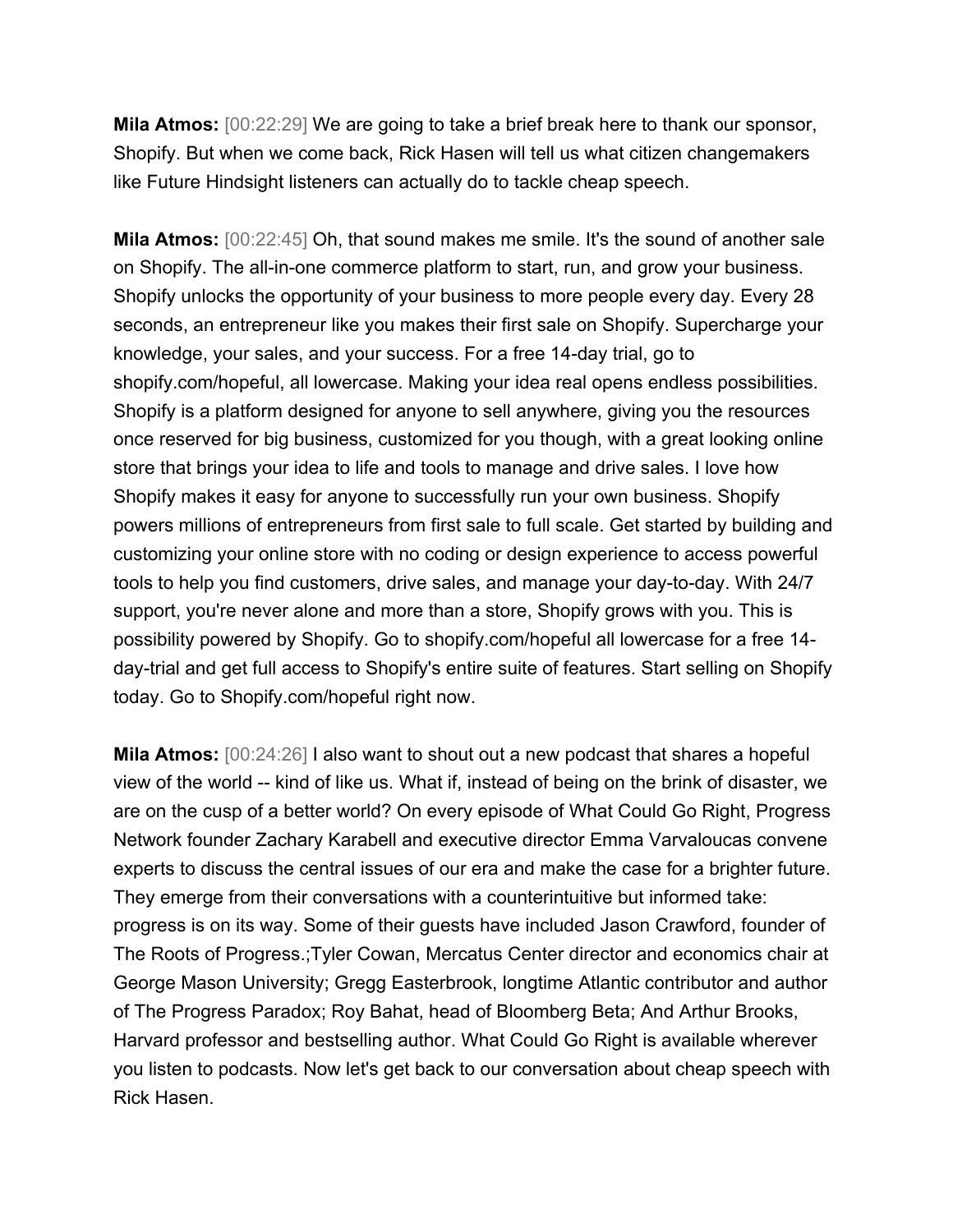**Mila Atmos:** [00:22:29] We are going to take a brief break here to thank our sponsor, Shopify. But when we come back, Rick Hasen will tell us what citizen changemakers like Future Hindsight listeners can actually do to tackle cheap speech.

**Mila Atmos:** [00:22:45] Oh, that sound makes me smile. It's the sound of another sale on Shopify. The all-in-one commerce platform to start, run, and grow your business. Shopify unlocks the opportunity of your business to more people every day. Every 28 seconds, an entrepreneur like you makes their first sale on Shopify. Supercharge your knowledge, your sales, and your success. For a free 14-day trial, go to shopify.com/hopeful, all lowercase. Making your idea real opens endless possibilities. Shopify is a platform designed for anyone to sell anywhere, giving you the resources once reserved for big business, customized for you though, with a great looking online store that brings your idea to life and tools to manage and drive sales. I love how Shopify makes it easy for anyone to successfully run your own business. Shopify powers millions of entrepreneurs from first sale to full scale. Get started by building and customizing your online store with no coding or design experience to access powerful tools to help you find customers, drive sales, and manage your day-to-day. With 24/7 support, you're never alone and more than a store, Shopify grows with you. This is possibility powered by Shopify. Go to shopify.com/hopeful all lowercase for a free 14 day-trial and get full access to Shopify's entire suite of features. Start selling on Shopify today. Go to Shopify.com/hopeful right now.

**Mila Atmos:** [00:24:26] I also want to shout out a new podcast that shares a hopeful view of the world -- kind of like us. What if, instead of being on the brink of disaster, we are on the cusp of a better world? On every episode of What Could Go Right, Progress Network founder Zachary Karabell and executive director Emma Varvaloucas convene experts to discuss the central issues of our era and make the case for a brighter future. They emerge from their conversations with a counterintuitive but informed take: progress is on its way. Some of their guests have included Jason Crawford, founder of The Roots of Progress.;Tyler Cowan, Mercatus Center director and economics chair at George Mason University; Gregg Easterbrook, longtime Atlantic contributor and author of The Progress Paradox; Roy Bahat, head of Bloomberg Beta; And Arthur Brooks, Harvard professor and bestselling author. What Could Go Right is available wherever you listen to podcasts. Now let's get back to our conversation about cheap speech with Rick Hasen.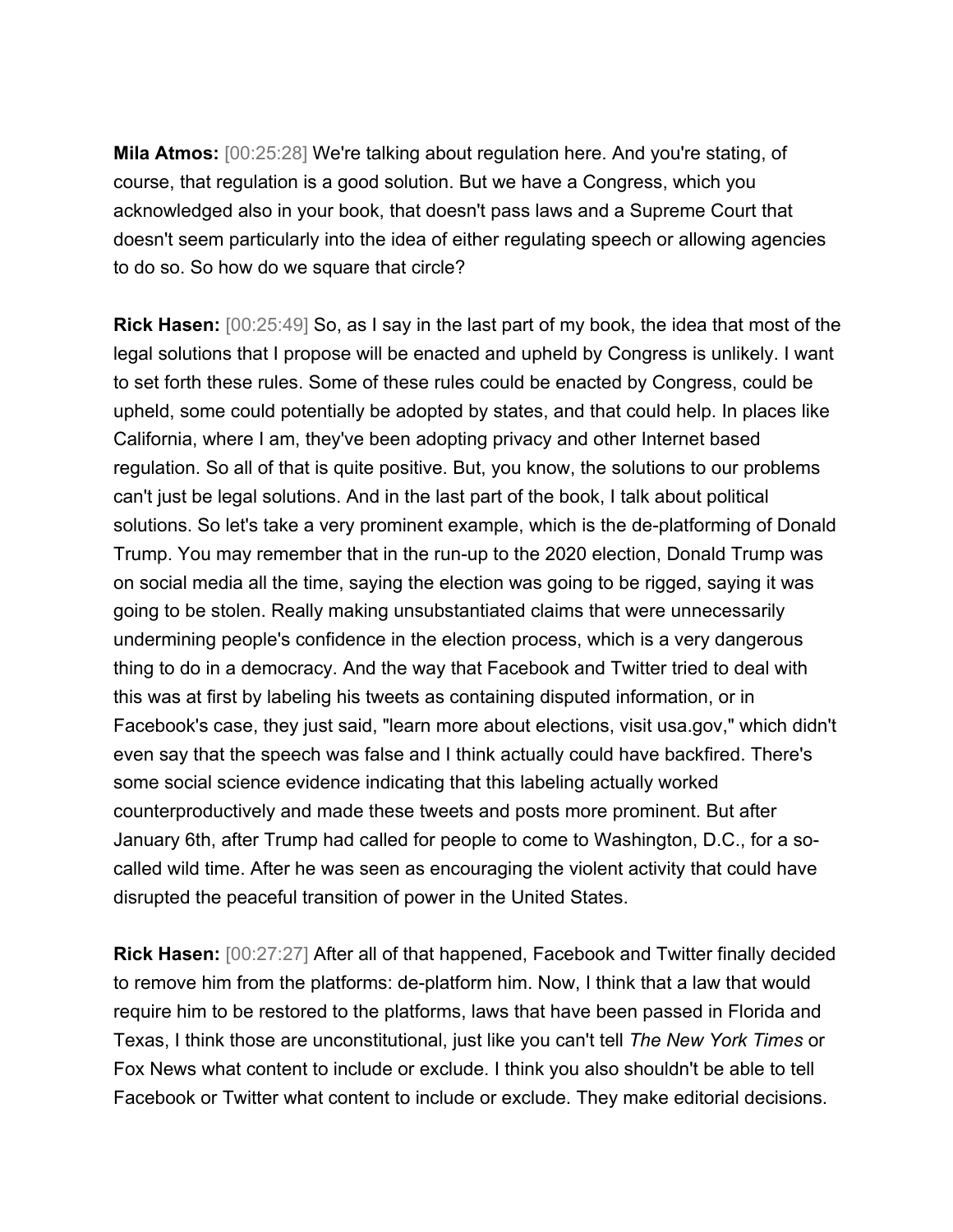**Mila Atmos:** [00:25:28] We're talking about regulation here. And you're stating, of course, that regulation is a good solution. But we have a Congress, which you acknowledged also in your book, that doesn't pass laws and a Supreme Court that doesn't seem particularly into the idea of either regulating speech or allowing agencies to do so. So how do we square that circle?

**Rick Hasen:** [00:25:49] So, as I say in the last part of my book, the idea that most of the legal solutions that I propose will be enacted and upheld by Congress is unlikely. I want to set forth these rules. Some of these rules could be enacted by Congress, could be upheld, some could potentially be adopted by states, and that could help. In places like California, where I am, they've been adopting privacy and other Internet based regulation. So all of that is quite positive. But, you know, the solutions to our problems can't just be legal solutions. And in the last part of the book, I talk about political solutions. So let's take a very prominent example, which is the de-platforming of Donald Trump. You may remember that in the run-up to the 2020 election, Donald Trump was on social media all the time, saying the election was going to be rigged, saying it was going to be stolen. Really making unsubstantiated claims that were unnecessarily undermining people's confidence in the election process, which is a very dangerous thing to do in a democracy. And the way that Facebook and Twitter tried to deal with this was at first by labeling his tweets as containing disputed information, or in Facebook's case, they just said, "learn more about elections, visit usa.gov," which didn't even say that the speech was false and I think actually could have backfired. There's some social science evidence indicating that this labeling actually worked counterproductively and made these tweets and posts more prominent. But after January 6th, after Trump had called for people to come to Washington, D.C., for a socalled wild time. After he was seen as encouraging the violent activity that could have disrupted the peaceful transition of power in the United States.

**Rick Hasen:** [00:27:27] After all of that happened, Facebook and Twitter finally decided to remove him from the platforms: de-platform him. Now, I think that a law that would require him to be restored to the platforms, laws that have been passed in Florida and Texas, I think those are unconstitutional, just like you can't tell *The New York Times* or Fox News what content to include or exclude. I think you also shouldn't be able to tell Facebook or Twitter what content to include or exclude. They make editorial decisions.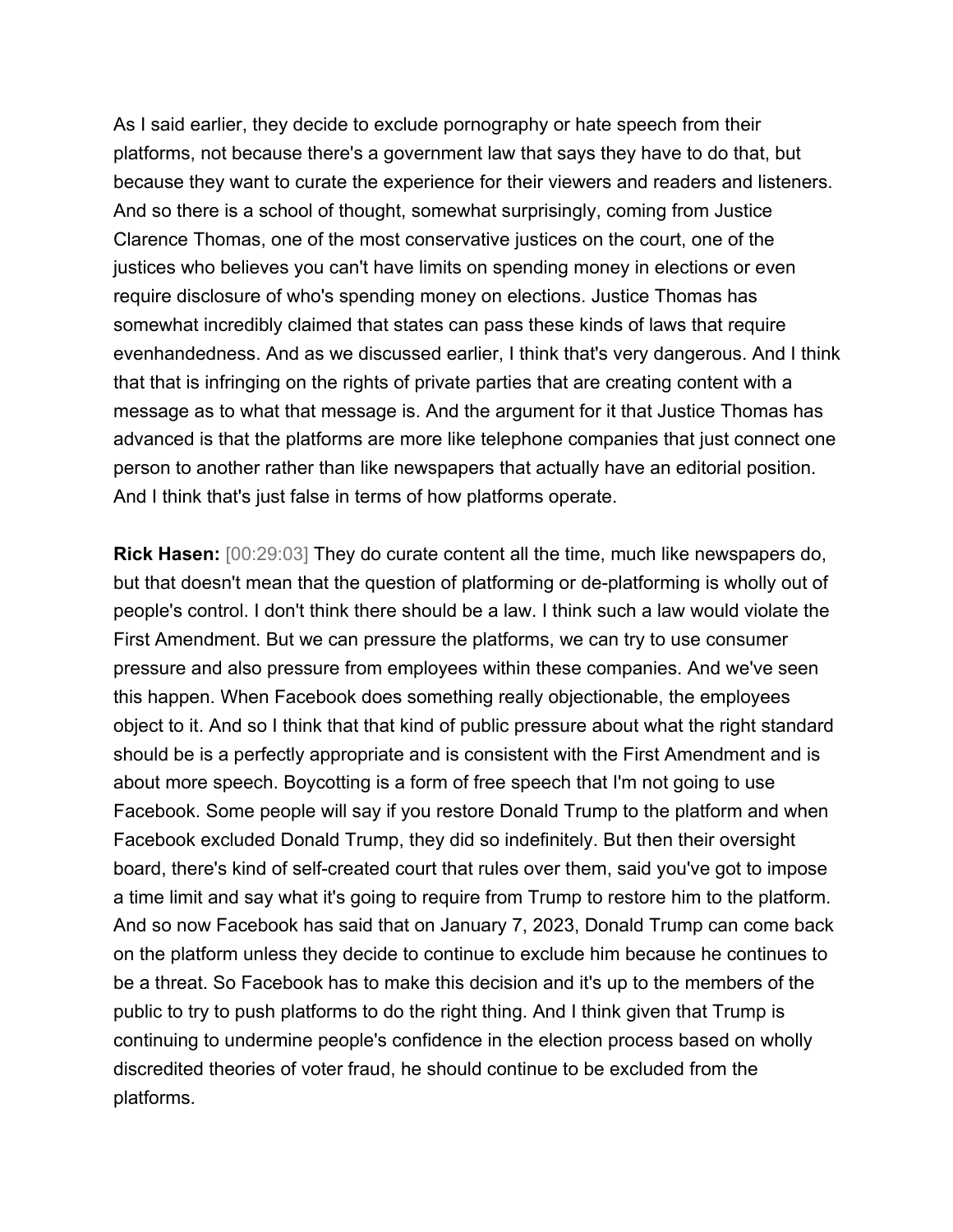As I said earlier, they decide to exclude pornography or hate speech from their platforms, not because there's a government law that says they have to do that, but because they want to curate the experience for their viewers and readers and listeners. And so there is a school of thought, somewhat surprisingly, coming from Justice Clarence Thomas, one of the most conservative justices on the court, one of the justices who believes you can't have limits on spending money in elections or even require disclosure of who's spending money on elections. Justice Thomas has somewhat incredibly claimed that states can pass these kinds of laws that require evenhandedness. And as we discussed earlier, I think that's very dangerous. And I think that that is infringing on the rights of private parties that are creating content with a message as to what that message is. And the argument for it that Justice Thomas has advanced is that the platforms are more like telephone companies that just connect one person to another rather than like newspapers that actually have an editorial position. And I think that's just false in terms of how platforms operate.

**Rick Hasen:** [00:29:03] They do curate content all the time, much like newspapers do, but that doesn't mean that the question of platforming or de-platforming is wholly out of people's control. I don't think there should be a law. I think such a law would violate the First Amendment. But we can pressure the platforms, we can try to use consumer pressure and also pressure from employees within these companies. And we've seen this happen. When Facebook does something really objectionable, the employees object to it. And so I think that that kind of public pressure about what the right standard should be is a perfectly appropriate and is consistent with the First Amendment and is about more speech. Boycotting is a form of free speech that I'm not going to use Facebook. Some people will say if you restore Donald Trump to the platform and when Facebook excluded Donald Trump, they did so indefinitely. But then their oversight board, there's kind of self-created court that rules over them, said you've got to impose a time limit and say what it's going to require from Trump to restore him to the platform. And so now Facebook has said that on January 7, 2023, Donald Trump can come back on the platform unless they decide to continue to exclude him because he continues to be a threat. So Facebook has to make this decision and it's up to the members of the public to try to push platforms to do the right thing. And I think given that Trump is continuing to undermine people's confidence in the election process based on wholly discredited theories of voter fraud, he should continue to be excluded from the platforms.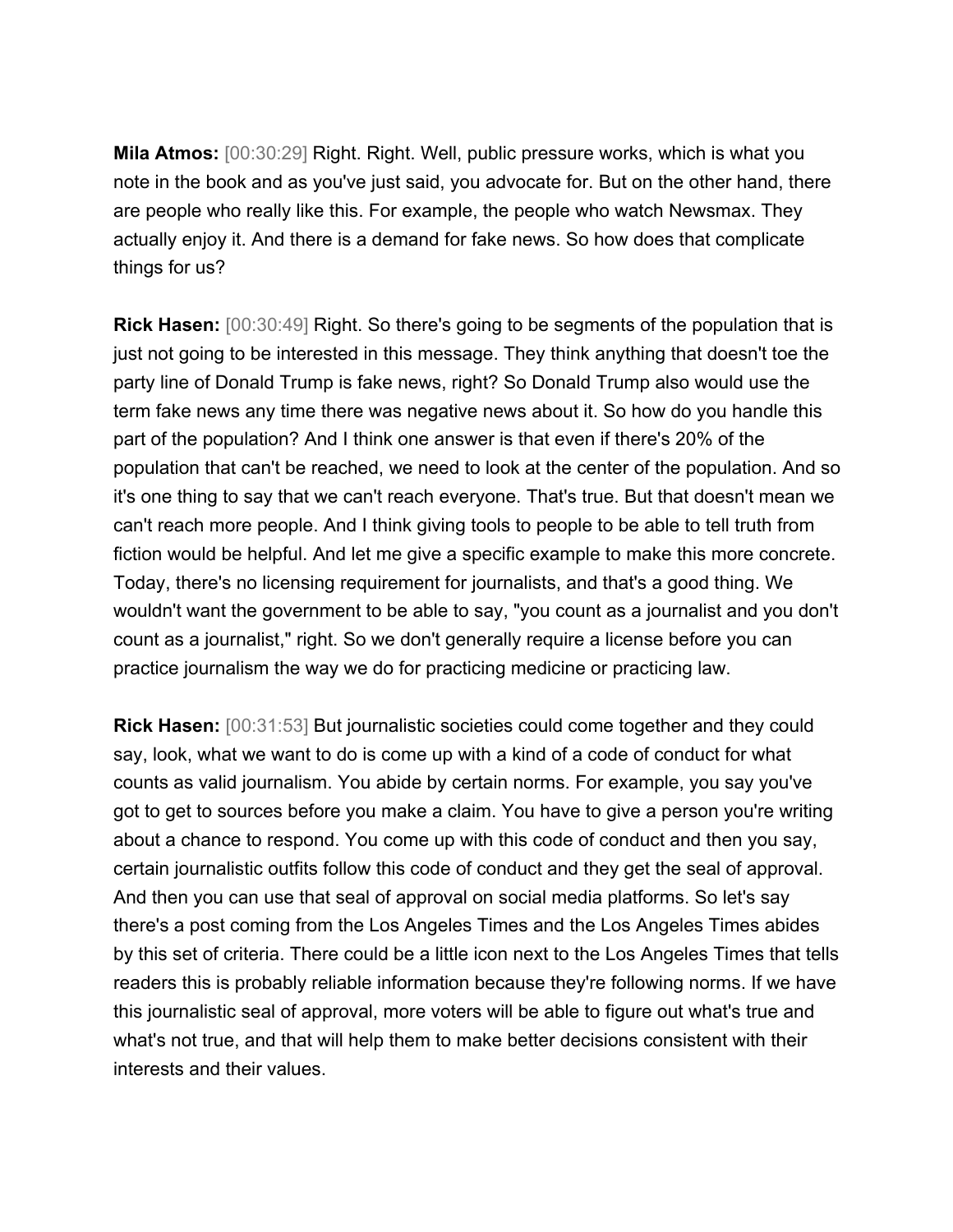**Mila Atmos:** [00:30:29] Right. Right. Well, public pressure works, which is what you note in the book and as you've just said, you advocate for. But on the other hand, there are people who really like this. For example, the people who watch Newsmax. They actually enjoy it. And there is a demand for fake news. So how does that complicate things for us?

**Rick Hasen:** [00:30:49] Right. So there's going to be segments of the population that is just not going to be interested in this message. They think anything that doesn't toe the party line of Donald Trump is fake news, right? So Donald Trump also would use the term fake news any time there was negative news about it. So how do you handle this part of the population? And I think one answer is that even if there's 20% of the population that can't be reached, we need to look at the center of the population. And so it's one thing to say that we can't reach everyone. That's true. But that doesn't mean we can't reach more people. And I think giving tools to people to be able to tell truth from fiction would be helpful. And let me give a specific example to make this more concrete. Today, there's no licensing requirement for journalists, and that's a good thing. We wouldn't want the government to be able to say, "you count as a journalist and you don't count as a journalist," right. So we don't generally require a license before you can practice journalism the way we do for practicing medicine or practicing law.

**Rick Hasen:** [00:31:53] But journalistic societies could come together and they could say, look, what we want to do is come up with a kind of a code of conduct for what counts as valid journalism. You abide by certain norms. For example, you say you've got to get to sources before you make a claim. You have to give a person you're writing about a chance to respond. You come up with this code of conduct and then you say, certain journalistic outfits follow this code of conduct and they get the seal of approval. And then you can use that seal of approval on social media platforms. So let's say there's a post coming from the Los Angeles Times and the Los Angeles Times abides by this set of criteria. There could be a little icon next to the Los Angeles Times that tells readers this is probably reliable information because they're following norms. If we have this journalistic seal of approval, more voters will be able to figure out what's true and what's not true, and that will help them to make better decisions consistent with their interests and their values.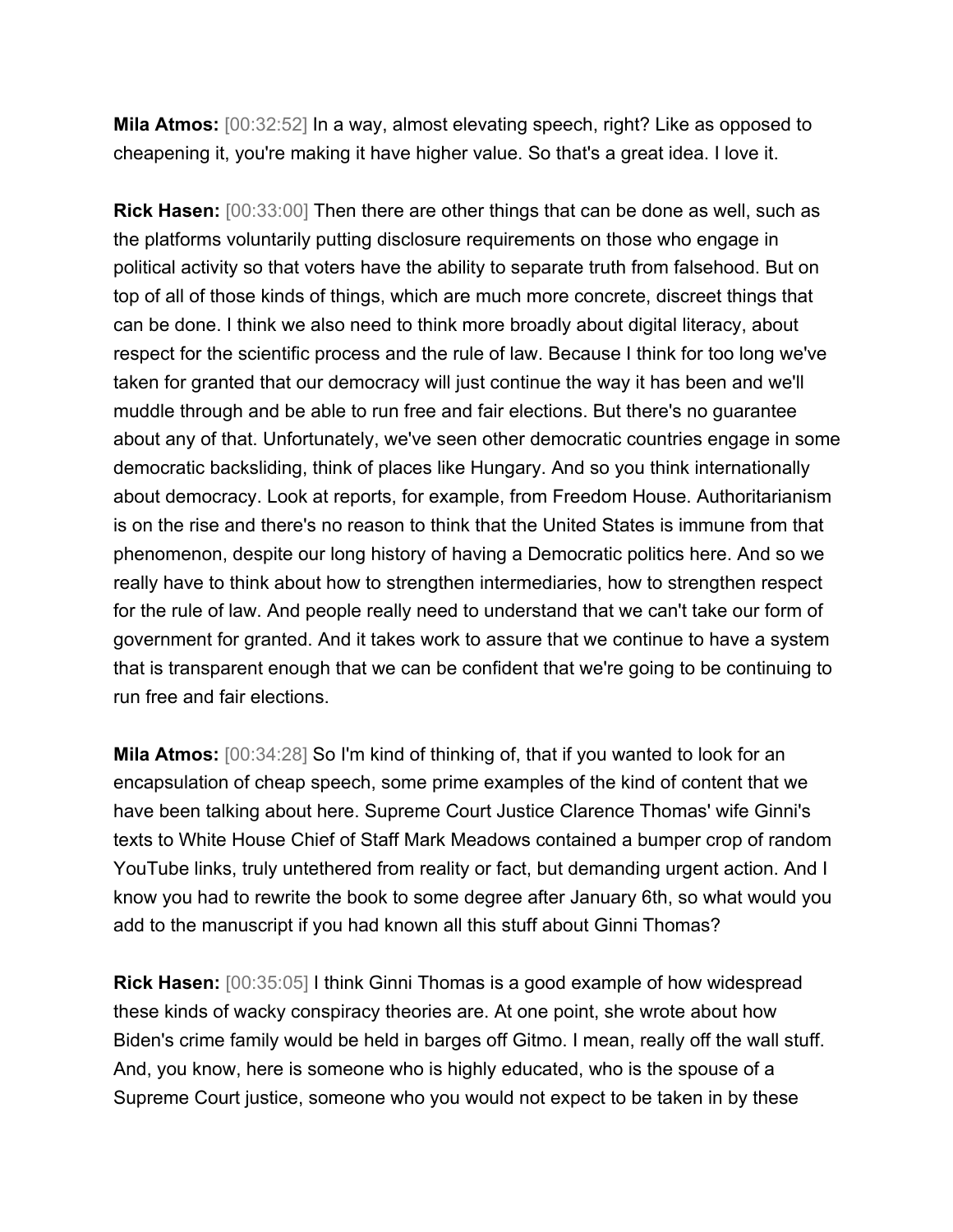**Mila Atmos:** [00:32:52] In a way, almost elevating speech, right? Like as opposed to cheapening it, you're making it have higher value. So that's a great idea. I love it.

**Rick Hasen:** [00:33:00] Then there are other things that can be done as well, such as the platforms voluntarily putting disclosure requirements on those who engage in political activity so that voters have the ability to separate truth from falsehood. But on top of all of those kinds of things, which are much more concrete, discreet things that can be done. I think we also need to think more broadly about digital literacy, about respect for the scientific process and the rule of law. Because I think for too long we've taken for granted that our democracy will just continue the way it has been and we'll muddle through and be able to run free and fair elections. But there's no guarantee about any of that. Unfortunately, we've seen other democratic countries engage in some democratic backsliding, think of places like Hungary. And so you think internationally about democracy. Look at reports, for example, from Freedom House. Authoritarianism is on the rise and there's no reason to think that the United States is immune from that phenomenon, despite our long history of having a Democratic politics here. And so we really have to think about how to strengthen intermediaries, how to strengthen respect for the rule of law. And people really need to understand that we can't take our form of government for granted. And it takes work to assure that we continue to have a system that is transparent enough that we can be confident that we're going to be continuing to run free and fair elections.

**Mila Atmos:** [00:34:28] So I'm kind of thinking of, that if you wanted to look for an encapsulation of cheap speech, some prime examples of the kind of content that we have been talking about here. Supreme Court Justice Clarence Thomas' wife Ginni's texts to White House Chief of Staff Mark Meadows contained a bumper crop of random YouTube links, truly untethered from reality or fact, but demanding urgent action. And I know you had to rewrite the book to some degree after January 6th, so what would you add to the manuscript if you had known all this stuff about Ginni Thomas?

**Rick Hasen:** [00:35:05] I think Ginni Thomas is a good example of how widespread these kinds of wacky conspiracy theories are. At one point, she wrote about how Biden's crime family would be held in barges off Gitmo. I mean, really off the wall stuff. And, you know, here is someone who is highly educated, who is the spouse of a Supreme Court justice, someone who you would not expect to be taken in by these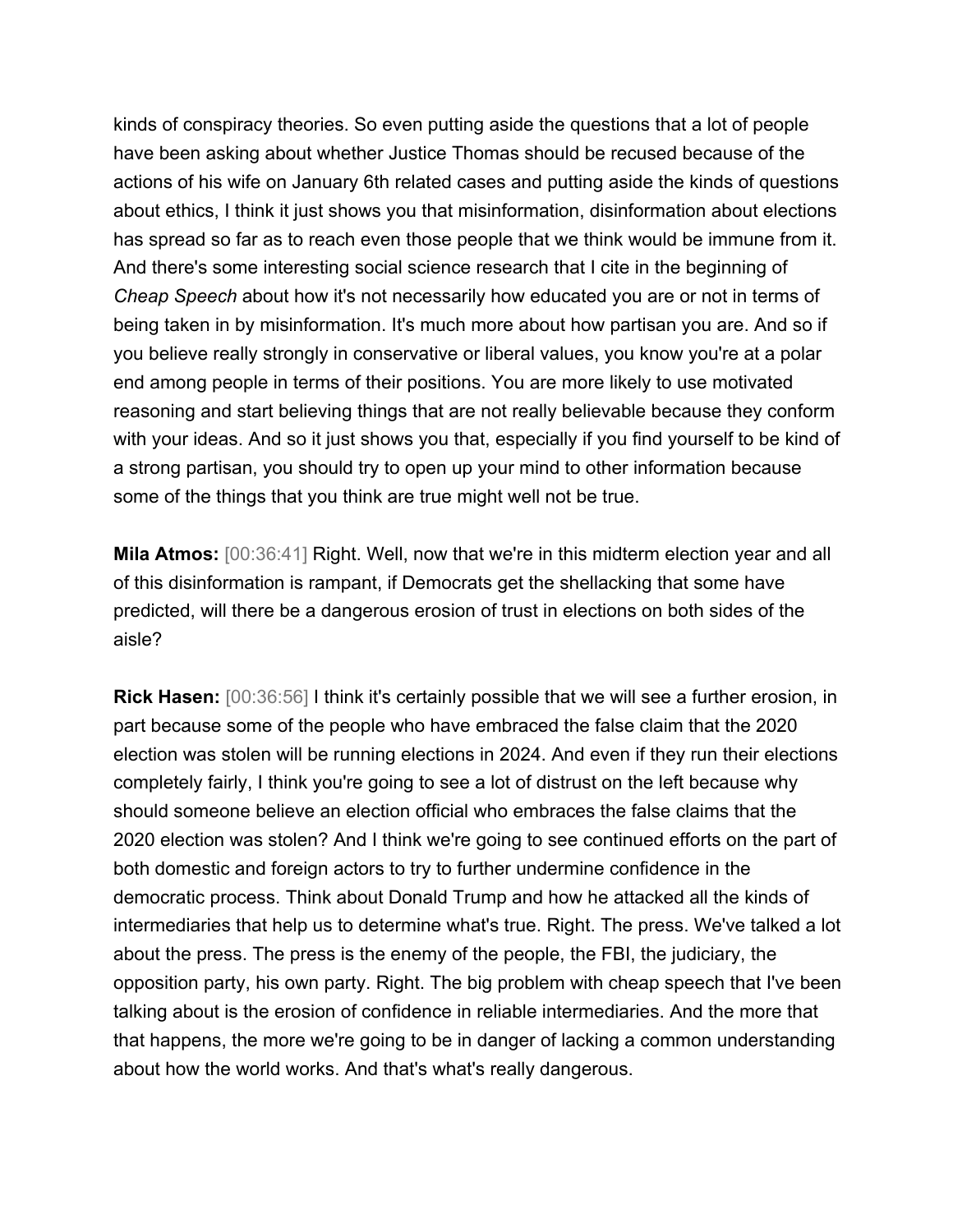kinds of conspiracy theories. So even putting aside the questions that a lot of people have been asking about whether Justice Thomas should be recused because of the actions of his wife on January 6th related cases and putting aside the kinds of questions about ethics, I think it just shows you that misinformation, disinformation about elections has spread so far as to reach even those people that we think would be immune from it. And there's some interesting social science research that I cite in the beginning of *Cheap Speech* about how it's not necessarily how educated you are or not in terms of being taken in by misinformation. It's much more about how partisan you are. And so if you believe really strongly in conservative or liberal values, you know you're at a polar end among people in terms of their positions. You are more likely to use motivated reasoning and start believing things that are not really believable because they conform with your ideas. And so it just shows you that, especially if you find yourself to be kind of a strong partisan, you should try to open up your mind to other information because some of the things that you think are true might well not be true.

**Mila Atmos:** [00:36:41] Right. Well, now that we're in this midterm election year and all of this disinformation is rampant, if Democrats get the shellacking that some have predicted, will there be a dangerous erosion of trust in elections on both sides of the aisle?

**Rick Hasen:** [00:36:56] I think it's certainly possible that we will see a further erosion, in part because some of the people who have embraced the false claim that the 2020 election was stolen will be running elections in 2024. And even if they run their elections completely fairly, I think you're going to see a lot of distrust on the left because why should someone believe an election official who embraces the false claims that the 2020 election was stolen? And I think we're going to see continued efforts on the part of both domestic and foreign actors to try to further undermine confidence in the democratic process. Think about Donald Trump and how he attacked all the kinds of intermediaries that help us to determine what's true. Right. The press. We've talked a lot about the press. The press is the enemy of the people, the FBI, the judiciary, the opposition party, his own party. Right. The big problem with cheap speech that I've been talking about is the erosion of confidence in reliable intermediaries. And the more that that happens, the more we're going to be in danger of lacking a common understanding about how the world works. And that's what's really dangerous.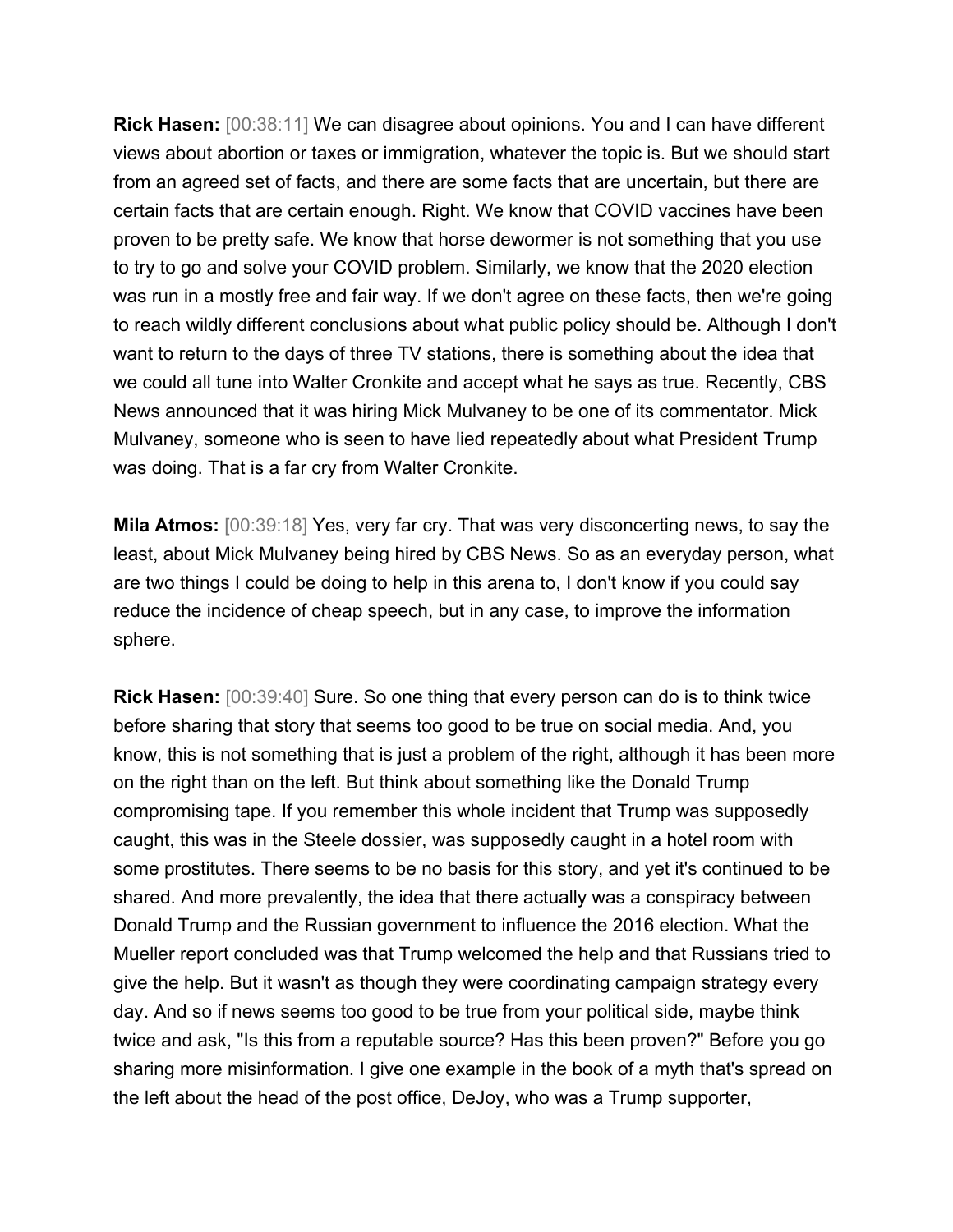**Rick Hasen:** [00:38:11] We can disagree about opinions. You and I can have different views about abortion or taxes or immigration, whatever the topic is. But we should start from an agreed set of facts, and there are some facts that are uncertain, but there are certain facts that are certain enough. Right. We know that COVID vaccines have been proven to be pretty safe. We know that horse dewormer is not something that you use to try to go and solve your COVID problem. Similarly, we know that the 2020 election was run in a mostly free and fair way. If we don't agree on these facts, then we're going to reach wildly different conclusions about what public policy should be. Although I don't want to return to the days of three TV stations, there is something about the idea that we could all tune into Walter Cronkite and accept what he says as true. Recently, CBS News announced that it was hiring Mick Mulvaney to be one of its commentator. Mick Mulvaney, someone who is seen to have lied repeatedly about what President Trump was doing. That is a far cry from Walter Cronkite.

**Mila Atmos:** [00:39:18] Yes, very far cry. That was very disconcerting news, to say the least, about Mick Mulvaney being hired by CBS News. So as an everyday person, what are two things I could be doing to help in this arena to, I don't know if you could say reduce the incidence of cheap speech, but in any case, to improve the information sphere.

**Rick Hasen:** [00:39:40] Sure. So one thing that every person can do is to think twice before sharing that story that seems too good to be true on social media. And, you know, this is not something that is just a problem of the right, although it has been more on the right than on the left. But think about something like the Donald Trump compromising tape. If you remember this whole incident that Trump was supposedly caught, this was in the Steele dossier, was supposedly caught in a hotel room with some prostitutes. There seems to be no basis for this story, and yet it's continued to be shared. And more prevalently, the idea that there actually was a conspiracy between Donald Trump and the Russian government to influence the 2016 election. What the Mueller report concluded was that Trump welcomed the help and that Russians tried to give the help. But it wasn't as though they were coordinating campaign strategy every day. And so if news seems too good to be true from your political side, maybe think twice and ask, "Is this from a reputable source? Has this been proven?" Before you go sharing more misinformation. I give one example in the book of a myth that's spread on the left about the head of the post office, DeJoy, who was a Trump supporter,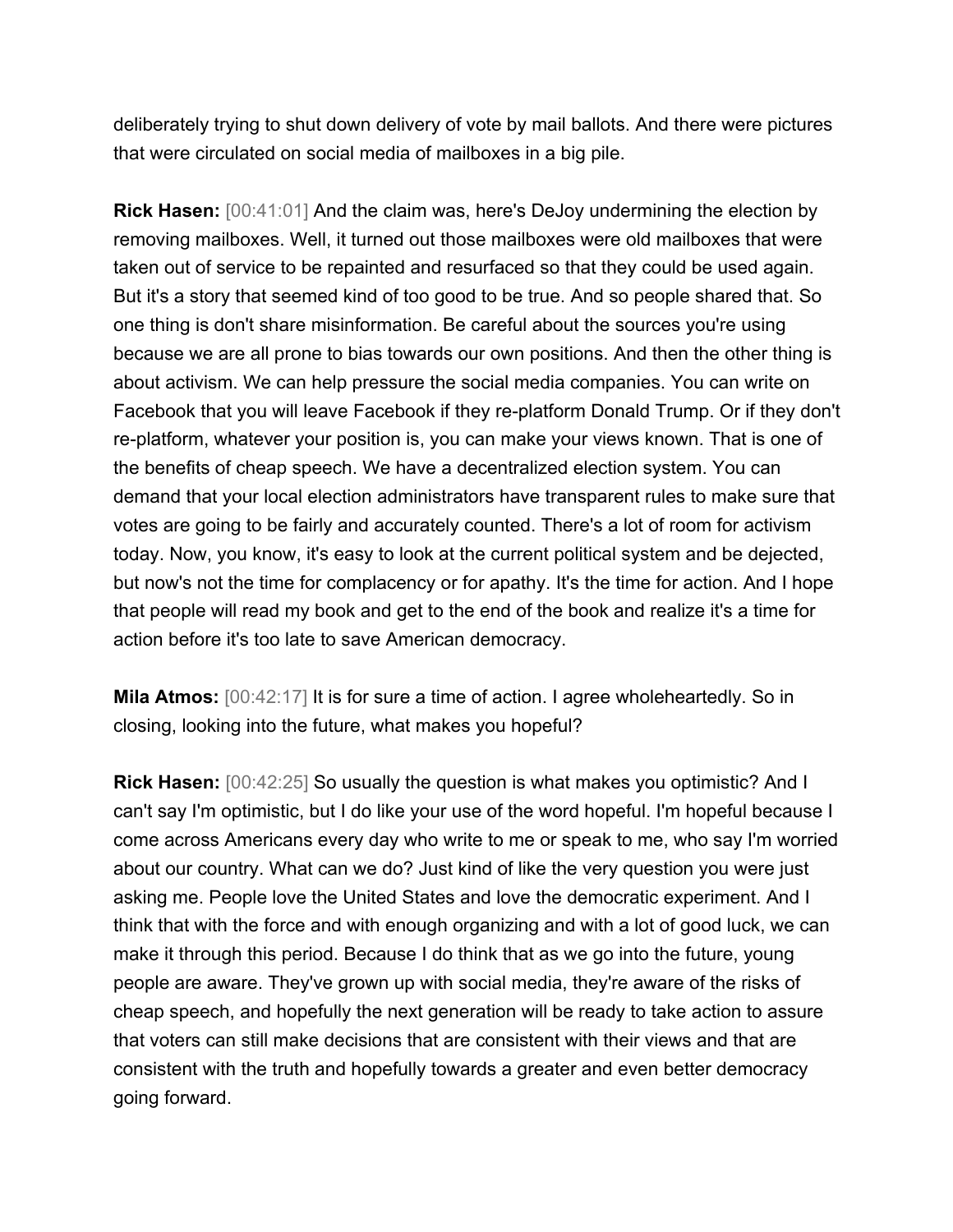deliberately trying to shut down delivery of vote by mail ballots. And there were pictures that were circulated on social media of mailboxes in a big pile.

**Rick Hasen:** [00:41:01] And the claim was, here's DeJoy undermining the election by removing mailboxes. Well, it turned out those mailboxes were old mailboxes that were taken out of service to be repainted and resurfaced so that they could be used again. But it's a story that seemed kind of too good to be true. And so people shared that. So one thing is don't share misinformation. Be careful about the sources you're using because we are all prone to bias towards our own positions. And then the other thing is about activism. We can help pressure the social media companies. You can write on Facebook that you will leave Facebook if they re-platform Donald Trump. Or if they don't re-platform, whatever your position is, you can make your views known. That is one of the benefits of cheap speech. We have a decentralized election system. You can demand that your local election administrators have transparent rules to make sure that votes are going to be fairly and accurately counted. There's a lot of room for activism today. Now, you know, it's easy to look at the current political system and be dejected, but now's not the time for complacency or for apathy. It's the time for action. And I hope that people will read my book and get to the end of the book and realize it's a time for action before it's too late to save American democracy.

**Mila Atmos:**  $[00:42:17]$  It is for sure a time of action. I agree wholeheartedly. So in closing, looking into the future, what makes you hopeful?

**Rick Hasen:** [00:42:25] So usually the question is what makes you optimistic? And I can't say I'm optimistic, but I do like your use of the word hopeful. I'm hopeful because I come across Americans every day who write to me or speak to me, who say I'm worried about our country. What can we do? Just kind of like the very question you were just asking me. People love the United States and love the democratic experiment. And I think that with the force and with enough organizing and with a lot of good luck, we can make it through this period. Because I do think that as we go into the future, young people are aware. They've grown up with social media, they're aware of the risks of cheap speech, and hopefully the next generation will be ready to take action to assure that voters can still make decisions that are consistent with their views and that are consistent with the truth and hopefully towards a greater and even better democracy going forward.